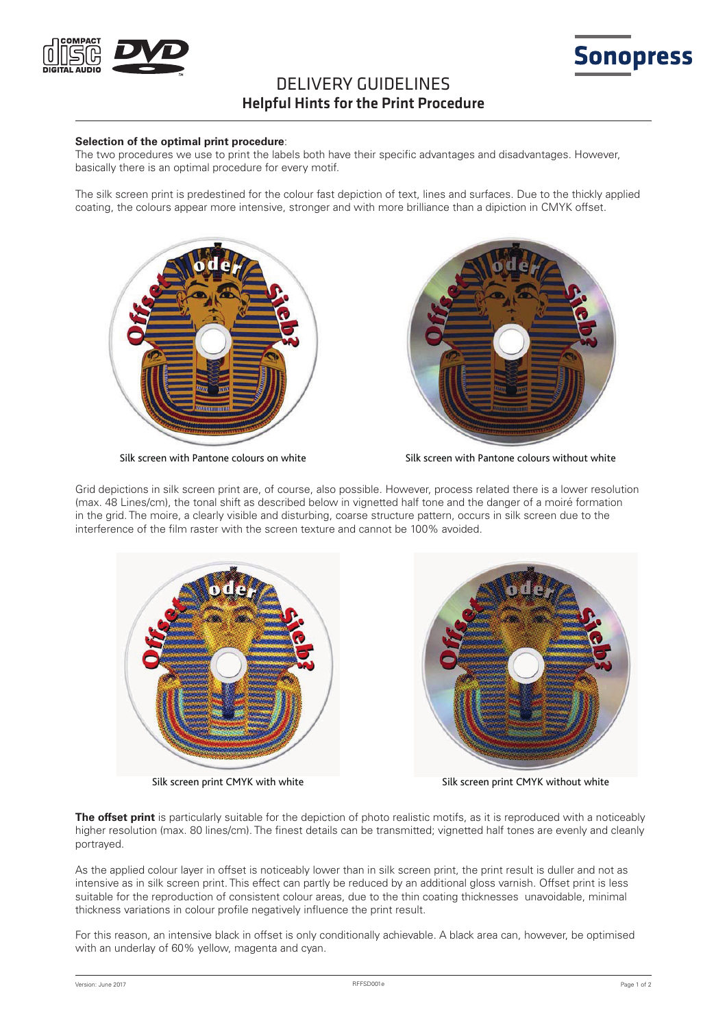

# DELIVERY GUIDELINES Helpful Hints for the Print Procedure

#### **Selection of the optimal print procedure**:

The two procedures we use to print the labels both have their specific advantages and disadvantages. However, basically there is an optimal procedure for every motif.

The silk screen print is predestined for the colour fast depiction of text, lines and surfaces. Due to the thickly applied coating, the colours appear more intensive, stronger and with more brilliance than a dipiction in CMYK offset.





**Sonopress** 

Silk screen with Pantone colours on white Silk screen with Pantone colours without white

Grid depictions in silk screen print are, of course, also possible. However, process related there is a lower resolution (max. 48 Lines/cm), the tonal shift as described below in vignetted half tone and the danger of a moiré formation in the grid. The moire, a clearly visible and disturbing, coarse structure pattern, occurs in silk screen due to the interference of the film raster with the screen texture and cannot be 100% avoided.



Silk screen print CMYK with white Silk screen print CMYK without white

**The offset print** is particularly suitable for the depiction of photo realistic motifs, as it is reproduced with a noticeably higher resolution (max. 80 lines/cm). The finest details can be transmitted; vignetted half tones are evenly and cleanly portrayed.

As the applied colour layer in offset is noticeably lower than in silk screen print, the print result is duller and not as intensive as in silk screen print. This effect can partly be reduced by an additional gloss varnish. Offset print is less suitable for the reproduction of consistent colour areas, due to the thin coating thicknesses unavoidable, minimal thickness variations in colour profile negatively influence the print result.

For this reason, an intensive black in offset is only conditionally achievable. A black area can, however, be optimised with an underlay of 60% yellow, magenta and cyan.